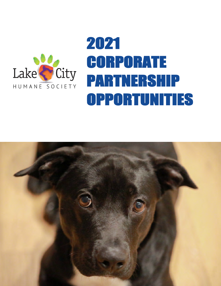

# 2021 CORPORATE PARTNERSHIP OPPORTUNITIES

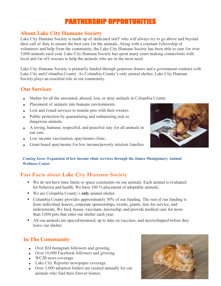# PARTNERSHIP OPPORTUNITIES

## **About Lake City Humane Society**

Lake City Humane Society is made up of dedicated staff who will always try to go above and beyond their call of duty to ensure the best care for the animals. Along with a constant fellowship of volunteers and help from the community, the Lake City Humane Society has been able to care for over 5,000 animals each year. Lake City Humane Society has spent many years making connections with local and far off rescues to help the animals who are in the most need.

Lake City Humane Society is primarily funded through generous donors and a government contract with Lake City and Columbia County. As Columbia County's only animal shelter, Lake City Humane Society plays an essential role in our community.

## **Our Services**

- Shelter for all the unwanted, abused, lost, or stray animals in Columbia County.
- Placement of animals into humane environments.
- Lost and found services to reunite pets with their owners.
- Public protection by quarantining and euthanizing sick or dangerous animals.
- A loving, humane, respectful, and peaceful stay for all animals in our care.
- Low income vaccination, spay/neuter clinic.
- Grant based spay/neuter for low income/poverty stricken families



#### *Coming Soon:* **Expansion of low income clinic services through the James Montgomery Animal Wellness Center**

# **Fast Facts about Lake City Humane Society**

- We do not have time limits or space constraints on our animals. Each animal is evaluated for behavior and health. We have 100 % placement of adoptable animals.
- We are Columbia County's **only** animal shelter.
- Columbia County provides approximately 50% of our funding. The rest of our funding is from individual donors, corporate sponsorships, events, grants, fees for service, and endowments. We feed, house, vaccinate, microchip, and provide medical care for more than 5,000 pets that enter our shelter each year.
- All our animals are spayed/neutered, up to date on vaccines, and microchipped before they leave our shelter.

## **In The Community**

- Over 824 Instagram followers and growing.
- Over 10,000 Facebook followers and growing.
- WCJB news coverage.
- Lake City Reporter newspaper coverage.
- Over 3,000 adoption folders are created annually for our animals who find their forever homes.

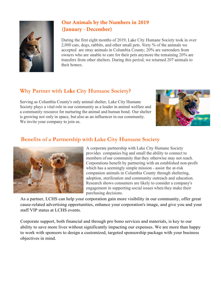

# **Our Animals by the Numbers in 2019 (January - December)**

During the first eight months of 2019, Lake City Humane Society took in over 2,000 cats, dogs, rabbits, and other small pets. Sixty % of the animals we accepted are stray animals in Columbia County; 20% are surrenders from owners who are unable to care for their pets anymore the remaining 20% are transfers from other shelters. During this period, we returned 207 animals to their homes.

# **Why Partner with Lake City Humane Society?**

Serving as Columbia County's only animal shelter, Lake City Humane Society plays a vital role in our community as a leader in animal welfare and a community resource for nurturing the animal and human bond. Our shelter is growing not only in space, but also as an influencer in our community. We invite your company to join us.



## **Benefits** of a Partnership with Lake City Humane Society



A corporate partnership with Lake City Humane Society provides companies big and small the ability to connect to members of our community that they otherwise may not reach. Corporations benefit by partnering with an established non-profit which has a seemingly simple mission - assist the at-risk companion animals in Columbia County through sheltering, adoption, sterilization and community outreach and education. Research shows consumers are likely to consider a company's engagement in supporting social issues when they make their purchasing decisions.

As a partner, LCHS can help your corporation gain more visibility in our community, offer great cause-related advertising opportunities, enhance your corporation's image, and give you and your staff VIP status at LCHS events.

Corporate support, both financial and through pro bono services and materials, is key to our ability to save more lives without significantly impacting our expenses. We are more than happy to work with sponsors to design a customized, targeted sponsorship package with your business objectives in mind.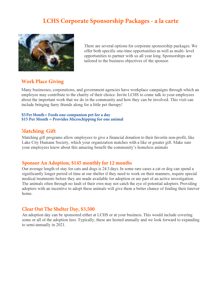# **LCHS Corporate Sponsorship Packages - a la carte**



There are several options for corporate sponsorship packages. We offer both specific one-time opportunities as well as multi- level opportunities to partner with us all year long. Sponsorships are tailored to the business objectives of the sponsor.

## **Work Place Giving**

Many businesses, corporations, and government agencies have workplace campaigns through which an employee may contribute to the charity of their choice. Invite LCHS to come talk to your employees about the important work that we do in the community and how they can be involved. This visit can include bringing furry friends along for a little pet therapy!

#### **\$5Per Month= Feeds one companion pet for a day \$15 Per Month = Provides Microchipping for one animal**

## �**latching Gift**

Matching gift programs allow employees to give a financial donation to their favorite non-profit, like Lake City Humane Society, which your organization matches with a like or greater gift. Make sure your employees know about this amazing benefit the community's homeless animals

#### **Sponsor An Adoption, \$145 monthly for 12 months**

Our average length of stay for cats and dogs is 24.3 days. In some rare cases a cat or dog can spend a significantly longer period of time at our shelter if they need to work on their manners, require special medical treatments before they are made available for adoption or are part of an active investigation. The animals often through no fault of their own may not catch the eye of potential adopters. Providing adopters with an incentive to adopt these animals will give them a better chance of finding their furever home.

## **Clear Out The Shelter Day, \$3,500**

An adoption day can be sponsored either at LCHS or at your business. This would include covering some or all of the adoption fees. Typically, these are hosted annually and we look forward to expanding to semi-annually in 2021.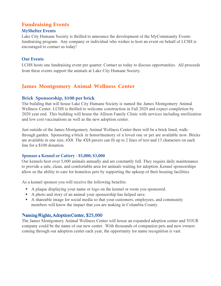## **Fundraising Events**

#### **MyShelter Events**

Lake City Humane Society is thrilled to announce the development of the MyCommunity Events fundraising program. Any company or individual who wishes to host an event on behalf of LCSH is encouraged to contact us today!

### **Our Events**

LCHS hosts one fundraising event per quarter. Contact us today to discuss opportunities. All proceeds from these events support the animals at Lake City Humane Society.

## **James Montgomery Animal Wellness Center**

## **Brick Sponsorship, \$100 per brick**

The building that will house Lake City Humane Society is named the James Montgomery Animal Wellness Center. LCHS is thrilled to welcome construction in Fall 2020 and expect completion by 2020 year end. This building will house the Allison Family Clinic with services including sterilization and low cost vaccinations as well as the new adoption center.

Just outside of the James Montgomery Animal Wellness Center there will be a brick lined, walkthrough garden. Sponsoring a brick in honor/memory of a loved one or pet are available now. Bricks are available in one size; 4X8. The 4X8 pavers can fit up to 2 lines of text and 13 characters on each line for a \$100 donation.

#### **Sponsor a Kennel or Cattery - \$5,000; \$3,000**

Our kennels host over 5,000 animals annually and are constantly full. They require daily maintenance to provide a safe, clean, and comfortable area for animals waiting for adoption. Kennel sponsorships allow us the ability to care for homeless pets by supporting the upkeep of their housing facilities.

As a kennel sponsor you will receive the following benefits:

- A plaque displaying your name or logo on the kennel or room you sponsored.
- A photo and story of an animal your sponsorship has helped save.
- A shareable image for social media so that your customers, employees, and community members will know the impact that you are making in Columbia County.

## **N**aming **R**ights, Adoption Center, \$25,000

The James Montgomery Animal Wellness Center will house an expanded adoption center and YOUR company could be the name of our new center. With thousands of companion pets and new owners coming through our adoption center each year, the opportunity for name recognition is vast.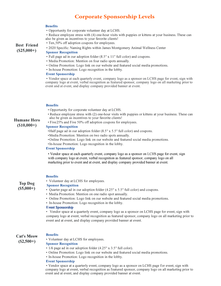## **Corporate Sponsorship Levels**

#### **Benefits**

• Opportunity for corporate volunteer day at LCHS.

• Reduce employee stress with ( 4) one-hour visits with puppies or kittens at your business. These can also be given as incentives to your favorite clients!

- Ten, 50% off adoption coupons for employees.
- 2020 Specific: Naming Rights within James Montgomery Animal Wellness Center

#### **Sponsor Recognition**

- Full page ad in our adoption folder (8.5" x 11" full color) and coupons.
- Media Promotion: Mention on four radio spots annually.
- Online Promotion: Logo link on our website and featured social media promotions.
- In-house Promotion: Logo recognition in the lobby.

#### **Event Sponsorship**

• Vendor space at each quarterly event, company logo as a sponsor on LCHS page for event, sign with company logo at event, verbal recognition as featured sponsor, company logo on all marketing prior to event and at event, and display company provided banner at event.

#### **Benefits**

- Opportunity for corporate volunteer day at LCHS.
- Reduce employee stress with (2) one-hour visits with puppies or kittens at your business. These can also be given as incentives to your favorite clients!
- Five 25% and Five 50% off adoption coupons for employees.

#### **Sponsor Recognition**

- Half page ad in our adoption folder (8.5" x 5.5" full color) and coupons.
- •Media Promotion: Mention on two radio spots annually.
- •Online Promotion: Logo link on our website and featured social media promotions.

•In-house Promotion: Logo recognition in the lobby.

#### **Event Sponsorship**

• Vendor space at each quarterly event, company logo as a sponsor on LCHS page for event, sign with company logo at event, verbal recognition as featured sponsor, company logo on all marketing prior to event and at event, and display company provided banner at event.

#### **Benefits**

• Volunteer day at LCHS for employees.

#### **Sponsor Recognition**

- Quarter page ad in our adoption folder (4.25" x 5.5" full color) and coupons.
- Media Promotion: Mention on one radio spot annually.
- Online Promotion: Logo link on our website and featured social media promotions.
- In-house Promotion: Logo recognition in the lobby.

#### **E**vent Sponsorship

• Vendor space at a quarterly event, company logo as a sponsor on LCHS page for event, sign with company logo at event, verbal recognition as featured sponsor, company logo on all marketing prior to event and at event, and display company provided banner at event.

#### **Cat's Meow (\$2,500+)**

**Top Dog (\$5,000+)** 

#### **Benefits**

• Volunteer day at LCHS for employees.

#### **Sponsor Recognition**

- 1/6 page ad in our adoption folder (4.25" x 3.5" full color).
- Online Promotion: Logo link on our website and featured social media promotions.
- In-house Promotion: Logo recognition in the lobby.
- **Event Sponsorship**

• Vendor space at a quarterly event, company logo as a sponsor on LCHS page for event, sign with company logo at event, verbal recognition as featured sponsor, company logo on all marketing prior to event and at event, and display company provided banner at event.

**Best Friend (\$25,000+)** 

**Humane Hero (\$10,000+)**